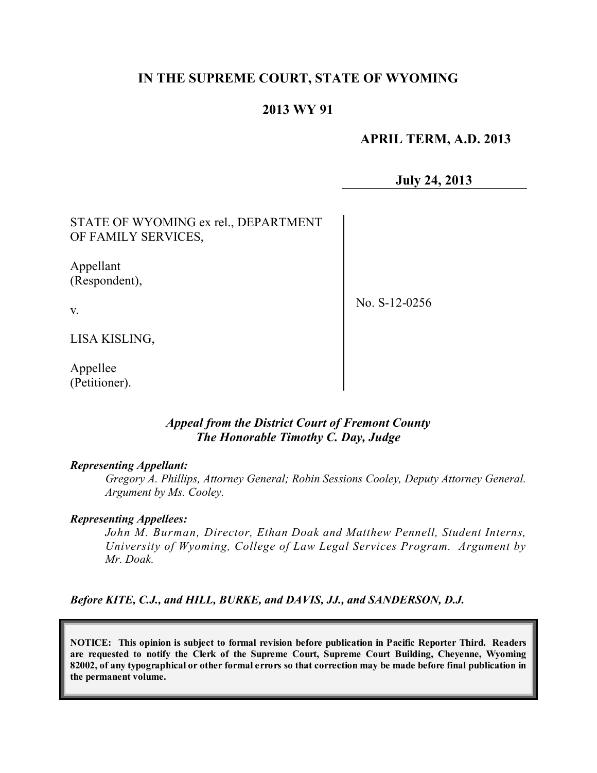# **IN THE SUPREME COURT, STATE OF WYOMING**

## **2013 WY 91**

#### **APRIL TERM, A.D. 2013**

**July 24, 2013**

STATE OF WYOMING ex rel., DEPARTMENT OF FAMILY SERVICES,

Appellant (Respondent),

v.

No. S-12-0256

LISA KISLING,

Appellee (Petitioner).

#### *Appeal from the District Court of Fremont County The Honorable Timothy C. Day, Judge*

#### *Representing Appellant:*

*Gregory A. Phillips, Attorney General; Robin Sessions Cooley, Deputy Attorney General. Argument by Ms. Cooley.*

#### *Representing Appellees:*

*John M. Burman, Director, Ethan Doak and Matthew Pennell, Student Interns, University of Wyoming, College of Law Legal Services Program. Argument by Mr. Doak.*

*Before KITE, C.J., and HILL, BURKE, and DAVIS, JJ., and SANDERSON, D.J.*

**NOTICE: This opinion is subject to formal revision before publication in Pacific Reporter Third. Readers are requested to notify the Clerk of the Supreme Court, Supreme Court Building, Cheyenne, Wyoming** 82002, of any typographical or other formal errors so that correction may be made before final publication in **the permanent volume.**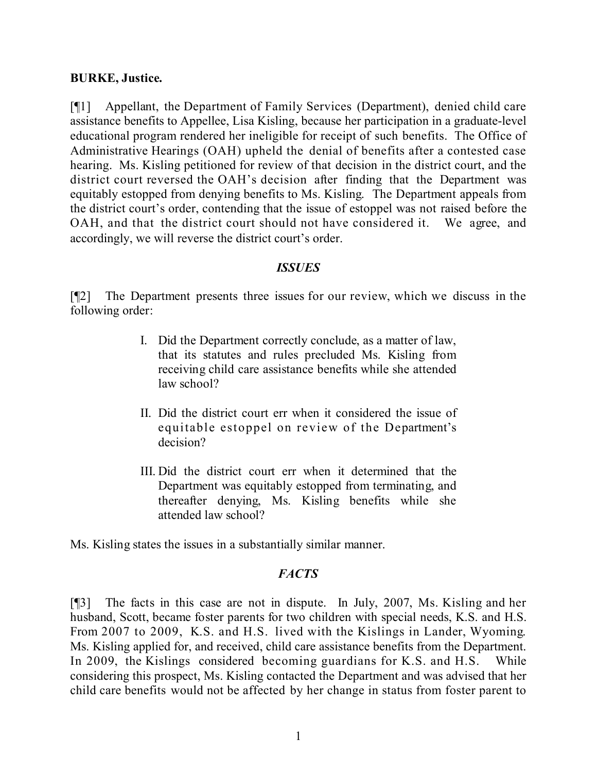## **BURKE, Justice.**

[¶1] Appellant, the Department of Family Services (Department), denied child care assistance benefits to Appellee, Lisa Kisling, because her participation in a graduate-level educational program rendered her ineligible for receipt of such benefits. The Office of Administrative Hearings (OAH) upheld the denial of benefits after a contested case hearing. Ms. Kisling petitioned for review of that decision in the district court, and the district court reversed the OAH's decision after finding that the Department was equitably estopped from denying benefits to Ms. Kisling. The Department appeals from the district court's order, contending that the issue of estoppel was not raised before the OAH, and that the district court should not have considered it. We agree, and accordingly, we will reverse the district court's order.

## *ISSUES*

[¶2] The Department presents three issues for our review, which we discuss in the following order:

- I. Did the Department correctly conclude, as a matter of law, that its statutes and rules precluded Ms. Kisling from receiving child care assistance benefits while she attended law school?
- II. Did the district court err when it considered the issue of equitable estoppel on review of the Department's decision?
- III. Did the district court err when it determined that the Department was equitably estopped from terminating, and thereafter denying, Ms. Kisling benefits while she attended law school?

Ms. Kisling states the issues in a substantially similar manner.

#### *FACTS*

[¶3] The facts in this case are not in dispute. In July, 2007, Ms. Kisling and her husband, Scott, became foster parents for two children with special needs, K.S. and H.S. From 2007 to 2009, K.S. and H.S. lived with the Kislings in Lander, Wyoming. Ms. Kisling applied for, and received, child care assistance benefits from the Department. In 2009, the Kislings considered becoming guardians for K.S. and H.S. While considering this prospect, Ms. Kisling contacted the Department and was advised that her child care benefits would not be affected by her change in status from foster parent to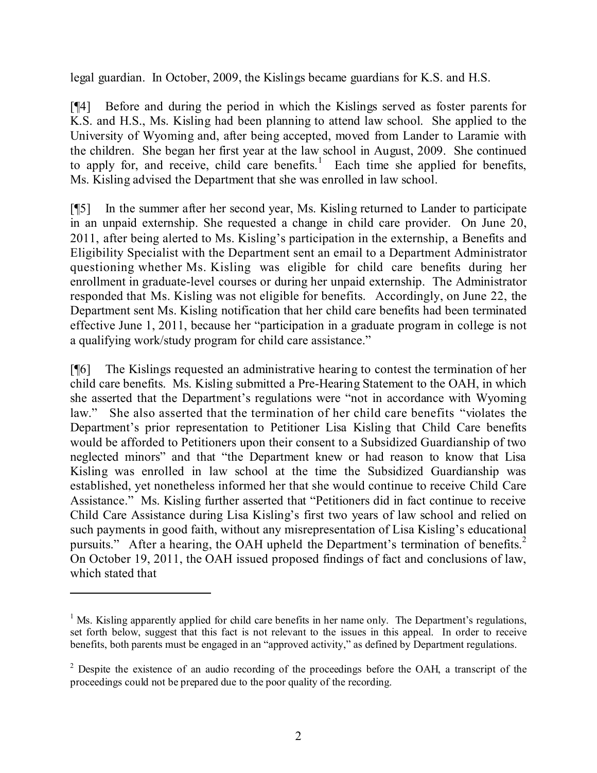legal guardian. In October, 2009, the Kislings became guardians for K.S. and H.S.

[¶4] Before and during the period in which the Kislings served as foster parents for K.S. and H.S., Ms. Kisling had been planning to attend law school. She applied to the University of Wyoming and, after being accepted, moved from Lander to Laramie with the children. She began her first year at the law school in August, 2009. She continued to apply for, and receive, child care benefits.<sup>1</sup> Each time she applied for benefits, Ms. Kisling advised the Department that she was enrolled in law school.

[¶5] In the summer after her second year, Ms. Kisling returned to Lander to participate in an unpaid externship. She requested a change in child care provider. On June 20, 2011, after being alerted to Ms. Kisling's participation in the externship, a Benefits and Eligibility Specialist with the Department sent an email to a Department Administrator questioning whether Ms. Kisling was eligible for child care benefits during her enrollment in graduate-level courses or during her unpaid externship. The Administrator responded that Ms. Kisling was not eligible for benefits. Accordingly, on June 22, the Department sent Ms. Kisling notification that her child care benefits had been terminated effective June 1, 2011, because her "participation in a graduate program in college is not a qualifying work/study program for child care assistance."

[¶6] The Kislings requested an administrative hearing to contest the termination of her child care benefits. Ms. Kisling submitted a Pre-Hearing Statement to the OAH, in which she asserted that the Department's regulations were "not in accordance with Wyoming law." She also asserted that the termination of her child care benefits "violates the Department's prior representation to Petitioner Lisa Kisling that Child Care benefits would be afforded to Petitioners upon their consent to a Subsidized Guardianship of two neglected minors" and that "the Department knew or had reason to know that Lisa Kisling was enrolled in law school at the time the Subsidized Guardianship was established, yet nonetheless informed her that she would continue to receive Child Care Assistance." Ms. Kisling further asserted that "Petitioners did in fact continue to receive Child Care Assistance during Lisa Kisling's first two years of law school and relied on such payments in good faith, without any misrepresentation of Lisa Kisling's educational pursuits." After a hearing, the OAH upheld the Department's termination of benefits.<sup>2</sup> On October 19, 2011, the OAH issued proposed findings of fact and conclusions of law, which stated that

 $<sup>1</sup>$  Ms. Kisling apparently applied for child care benefits in her name only. The Department's regulations,</sup> set forth below, suggest that this fact is not relevant to the issues in this appeal. In order to receive benefits, both parents must be engaged in an "approved activity," as defined by Department regulations.

<sup>&</sup>lt;sup>2</sup> Despite the existence of an audio recording of the proceedings before the OAH, a transcript of the proceedings could not be prepared due to the poor quality of the recording.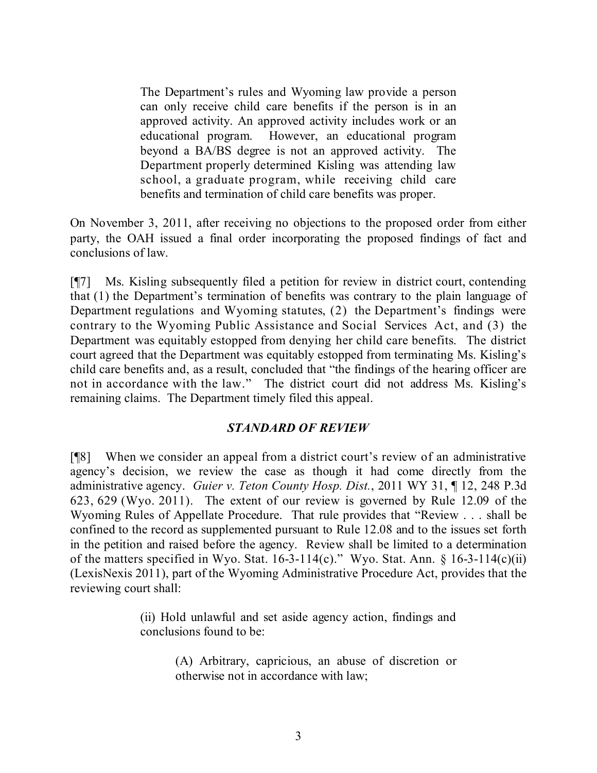The Department's rules and Wyoming law provide a person can only receive child care benefits if the person is in an approved activity. An approved activity includes work or an educational program. However, an educational program beyond a BA/BS degree is not an approved activity. The Department properly determined Kisling was attending law school, a graduate program, while receiving child care benefits and termination of child care benefits was proper.

On November 3, 2011, after receiving no objections to the proposed order from either party, the OAH issued a final order incorporating the proposed findings of fact and conclusions of law.

[¶7] Ms. Kisling subsequently filed a petition for review in district court, contending that (1) the Department's termination of benefits was contrary to the plain language of Department regulations and Wyoming statutes, (2) the Department's findings were contrary to the Wyoming Public Assistance and Social Services Act, and (3) the Department was equitably estopped from denying her child care benefits. The district court agreed that the Department was equitably estopped from terminating Ms. Kisling's child care benefits and, as a result, concluded that "the findings of the hearing officer are not in accordance with the law." The district court did not address Ms. Kisling's remaining claims. The Department timely filed this appeal.

# *STANDARD OF REVIEW*

[¶8] When we consider an appeal from a district court's review of an administrative agency's decision, we review the case as though it had come directly from the administrative agency. *Guier v. Teton County Hosp. Dist.*, 2011 WY 31, ¶ 12, 248 P.3d 623, 629 (Wyo. 2011). The extent of our review is governed by Rule 12.09 of the Wyoming Rules of Appellate Procedure. That rule provides that "Review . . . shall be confined to the record as supplemented pursuant to Rule 12.08 and to the issues set forth in the petition and raised before the agency. Review shall be limited to a determination of the matters specified in Wyo. Stat.  $16-3-114(c)$ ." Wyo. Stat. Ann. § 16-3-114(c)(ii) (LexisNexis 2011), part of the Wyoming Administrative Procedure Act, provides that the reviewing court shall:

> (ii) Hold unlawful and set aside agency action, findings and conclusions found to be:

> > (A) Arbitrary, capricious, an abuse of discretion or otherwise not in accordance with law;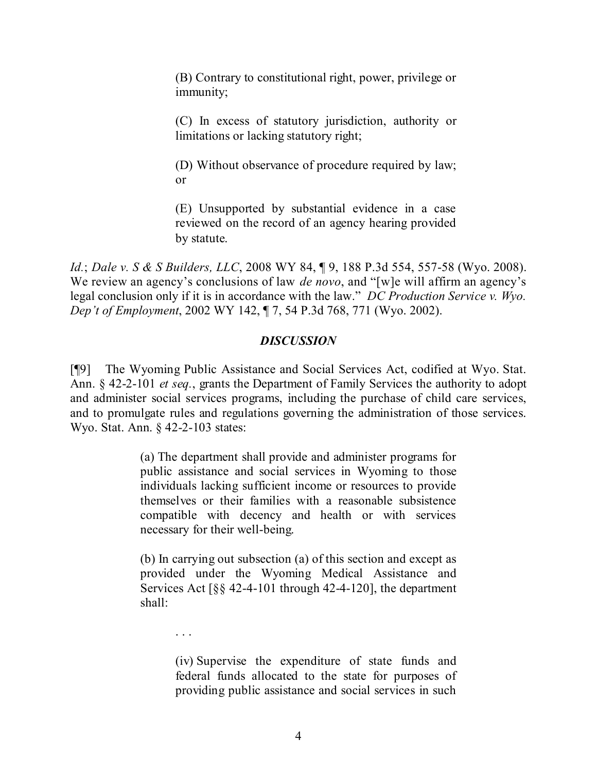(B) Contrary to constitutional right, power, privilege or immunity;

(C) In excess of statutory jurisdiction, authority or limitations or lacking statutory right;

(D) Without observance of procedure required by law; or

(E) Unsupported by substantial evidence in a case reviewed on the record of an agency hearing provided by statute.

*Id.*; *Dale v. S & S Builders, LLC*, 2008 WY 84, ¶ 9, 188 P.3d 554, 557-58 (Wyo. 2008). We review an agency's conclusions of law *de novo*, and "[w]e will affirm an agency's legal conclusion only if it is in accordance with the law." *DC Production Service v. Wyo. Dep't of Employment*, 2002 WY 142, ¶ 7, 54 P.3d 768, 771 (Wyo. 2002).

# *DISCUSSION*

[¶9] The Wyoming Public Assistance and Social Services Act, codified at Wyo. Stat. Ann. § 42-2-101 *et seq.*, grants the Department of Family Services the authority to adopt and administer social services programs, including the purchase of child care services, and to promulgate rules and regulations governing the administration of those services. Wyo. Stat. Ann. § 42-2-103 states:

> (a) The department shall provide and administer programs for public assistance and social services in Wyoming to those individuals lacking sufficient income or resources to provide themselves or their families with a reasonable subsistence compatible with decency and health or with services necessary for their well-being.

> (b) In carrying out subsection (a) of this section and except as provided under the Wyoming Medical Assistance and Services Act  $\lceil \S \S \rceil$  42-4-101 through 42-4-120], the department shall:

> > . . .

(iv) Supervise the expenditure of state funds and federal funds allocated to the state for purposes of providing public assistance and social services in such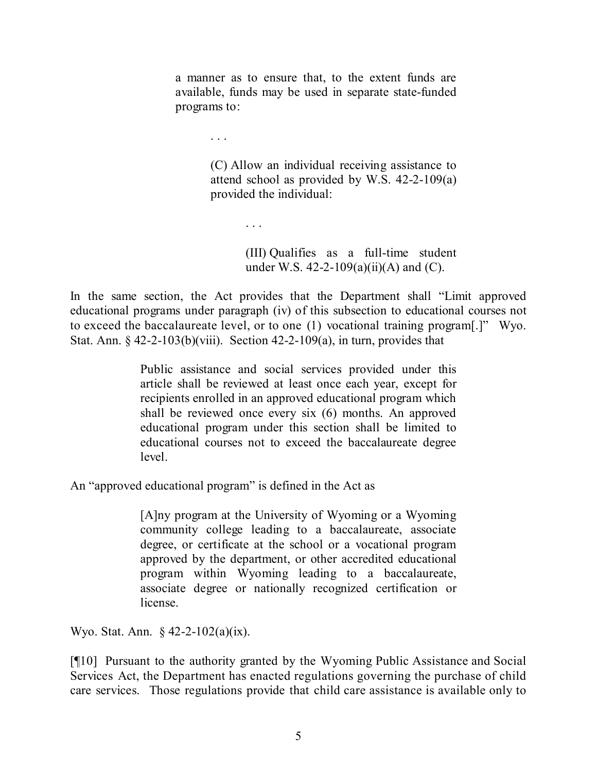a manner as to ensure that, to the extent funds are available, funds may be used in separate state-funded programs to:

> (C) Allow an individual receiving assistance to attend school as provided by W.S. 42-2-109(a) provided the individual:

> > (III) Qualifies as a full-time student under W.S. 42-2-109(a)(ii)(A) and (C).

In the same section, the Act provides that the Department shall "Limit approved educational programs under paragraph (iv) of this subsection to educational courses not to exceed the baccalaureate level, or to one (1) vocational training program[.]" Wyo. Stat. Ann.  $\frac{642-2-103(b)}{viii}$ . Section 42-2-109(a), in turn, provides that

> Public assistance and social services provided under this article shall be reviewed at least once each year, except for recipients enrolled in an approved educational program which shall be reviewed once every six (6) months. An approved educational program under this section shall be limited to educational courses not to exceed the baccalaureate degree level.

An "approved educational program" is defined in the Act as

. . .

. . .

[A]ny program at the University of Wyoming or a Wyoming community college leading to a baccalaureate, associate degree, or certificate at the school or a vocational program approved by the department, or other accredited educational program within Wyoming leading to a baccalaureate, associate degree or nationally recognized certification or license.

Wyo. Stat. Ann. § 42-2-102(a)(ix).

[¶10] Pursuant to the authority granted by the Wyoming Public Assistance and Social Services Act, the Department has enacted regulations governing the purchase of child care services. Those regulations provide that child care assistance is available only to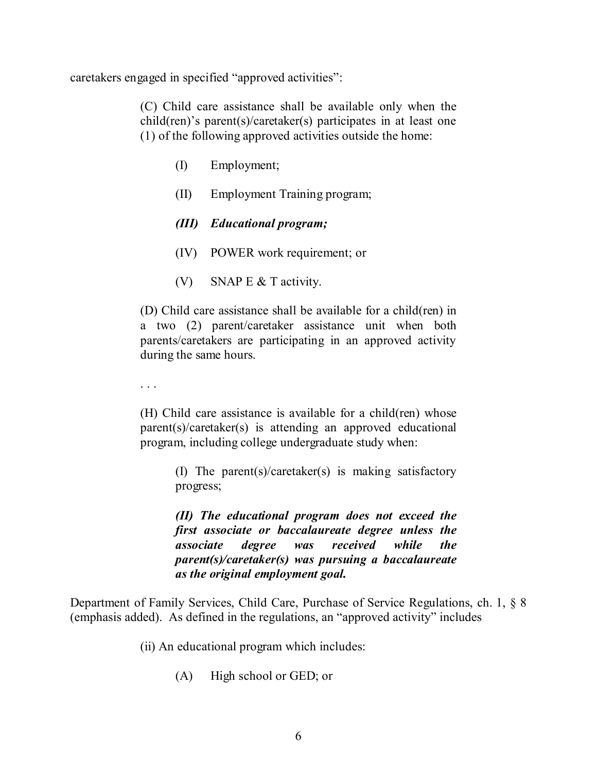caretakers engaged in specified "approved activities":

(C) Child care assistance shall be available only when the child(ren)'s parent(s)/caretaker(s) participates in at least one (1) of the following approved activities outside the home:

- (I) Employment;
- (II) Employment Training program;
- *(III) Educational program;*
- (IV) POWER work requirement; or
- (V) SNAP E & T activity.

(D) Child care assistance shall be available for a child(ren) in a two (2) parent/caretaker assistance unit when both parents/caretakers are participating in an approved activity during the same hours.

. . .

(H) Child care assistance is available for a child(ren) whose parent(s)/caretaker(s) is attending an approved educational program, including college undergraduate study when:

> (I) The parent(s)/caretaker(s) is making satisfactory progress;

> *(II) The educational program does not exceed the first associate or baccalaureate degree unless the associate degree was received while the parent(s)/caretaker(s) was pursuing a baccalaureate as the original employment goal.*

Department of Family Services, Child Care, Purchase of Service Regulations, ch. 1, § 8 (emphasis added). As defined in the regulations, an "approved activity" includes

(ii) An educational program which includes:

(A) High school or GED; or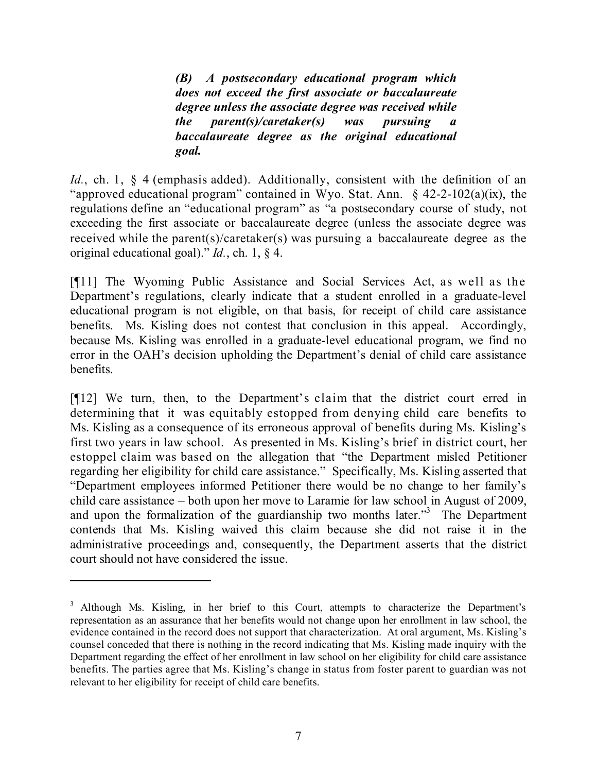*(B) A postsecondary educational program which does not exceed the first associate or baccalaureate degree unless the associate degree was received while the parent(s)/caretaker(s) was pursuing a baccalaureate degree as the original educational goal.*

Id., ch. 1, § 4 (emphasis added). Additionally, consistent with the definition of an "approved educational program" contained in Wyo. Stat. Ann. § 42-2-102(a)(ix), the regulations define an "educational program" as "a postsecondary course of study, not exceeding the first associate or baccalaureate degree (unless the associate degree was received while the parent(s)/caretaker(s) was pursuing a baccalaureate degree as the original educational goal)." *Id.*, ch. 1, § 4.

[¶11] The Wyoming Public Assistance and Social Services Act, as well as the Department's regulations, clearly indicate that a student enrolled in a graduate-level educational program is not eligible, on that basis, for receipt of child care assistance benefits. Ms. Kisling does not contest that conclusion in this appeal. Accordingly, because Ms. Kisling was enrolled in a graduate-level educational program, we find no error in the OAH's decision upholding the Department's denial of child care assistance benefits.

[¶12] We turn, then, to the Department's claim that the district court erred in determining that it was equitably estopped from denying child care benefits to Ms. Kisling as a consequence of its erroneous approval of benefits during Ms. Kisling's first two years in law school. As presented in Ms. Kisling's brief in district court, her estoppel claim was based on the allegation that "the Department misled Petitioner regarding her eligibility for child care assistance." Specifically, Ms. Kisling asserted that "Department employees informed Petitioner there would be no change to her family's child care assistance – both upon her move to Laramie for law school in August of 2009, and upon the formalization of the guardianship two months later."<sup>3</sup> The Department contends that Ms. Kisling waived this claim because she did not raise it in the administrative proceedings and, consequently, the Department asserts that the district court should not have considered the issue.

<sup>&</sup>lt;sup>3</sup> Although Ms. Kisling, in her brief to this Court, attempts to characterize the Department's representation as an assurance that her benefits would not change upon her enrollment in law school, the evidence contained in the record does not support that characterization. At oral argument, Ms. Kisling's counsel conceded that there is nothing in the record indicating that Ms. Kisling made inquiry with the Department regarding the effect of her enrollment in law school on her eligibility for child care assistance benefits. The parties agree that Ms. Kisling's change in status from foster parent to guardian was not relevant to her eligibility for receipt of child care benefits.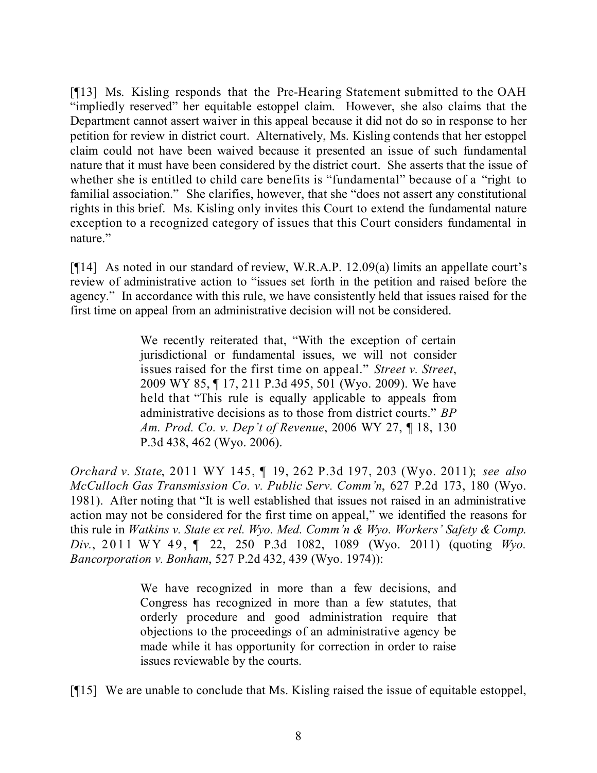[¶13] Ms. Kisling responds that the Pre-Hearing Statement submitted to the OAH "impliedly reserved" her equitable estoppel claim. However, she also claims that the Department cannot assert waiver in this appeal because it did not do so in response to her petition for review in district court. Alternatively, Ms. Kisling contends that her estoppel claim could not have been waived because it presented an issue of such fundamental nature that it must have been considered by the district court. She asserts that the issue of whether she is entitled to child care benefits is "fundamental" because of a "right to familial association." She clarifies, however, that she "does not assert any constitutional rights in this brief. Ms. Kisling only invites this Court to extend the fundamental nature exception to a recognized category of issues that this Court considers fundamental in nature."

[¶14] As noted in our standard of review, W.R.A.P. 12.09(a) limits an appellate court's review of administrative action to "issues set forth in the petition and raised before the agency." In accordance with this rule, we have consistently held that issues raised for the first time on appeal from an administrative decision will not be considered.

> We recently reiterated that, "With the exception of certain jurisdictional or fundamental issues, we will not consider issues raised for the first time on appeal." *Street v. Street*, 2009 WY 85, ¶ 17, 211 P.3d 495, 501 (Wyo. 2009). We have held that "This rule is equally applicable to appeals from administrative decisions as to those from district courts." *BP Am. Prod. Co. v. Dep't of Revenue*, 2006 WY 27, ¶ 18, 130 P.3d 438, 462 (Wyo. 2006).

*Orchard v. State*, 2011 WY 145, ¶ 19, 262 P.3d 197, 203 (Wyo. 2011); *see also McCulloch Gas Transmission Co. v. Public Serv. Comm'n*, 627 P.2d 173, 180 (Wyo. 1981). After noting that "It is well established that issues not raised in an administrative action may not be considered for the first time on appeal," we identified the reasons for this rule in *Watkins v. State ex rel. Wyo. Med. Comm'n & Wyo. Workers' Safety & Comp. Div.*, 2011 WY 49, ¶ 22, 250 P.3d 1082, 1089 (Wyo. 2011) (quoting *Wyo. Bancorporation v. Bonham*, 527 P.2d 432, 439 (Wyo. 1974)):

> We have recognized in more than a few decisions, and Congress has recognized in more than a few statutes, that orderly procedure and good administration require that objections to the proceedings of an administrative agency be made while it has opportunity for correction in order to raise issues reviewable by the courts.

[¶15] We are unable to conclude that Ms. Kisling raised the issue of equitable estoppel,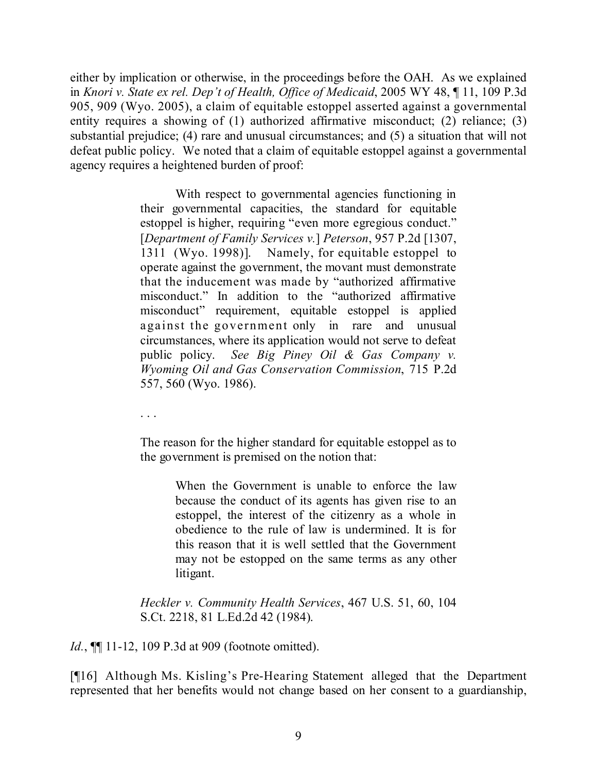either by implication or otherwise, in the proceedings before the OAH. As we explained in *Knori v. State ex rel. Dep't of Health, Office of Medicaid*, 2005 WY 48, ¶ 11, 109 P.3d 905, 909 (Wyo. 2005), a claim of equitable estoppel asserted against a governmental entity requires a showing of (1) authorized affirmative misconduct; (2) reliance; (3) substantial prejudice; (4) rare and unusual circumstances; and (5) a situation that will not defeat public policy. We noted that a claim of equitable estoppel against a governmental agency requires a heightened burden of proof:

> With respect to governmental agencies functioning in their governmental capacities, the standard for equitable estoppel is higher, requiring "even more egregious conduct." [*Department of Family Services v.*] *Peterson*, 957 P.2d [1307, 1311 (Wyo. 1998)]. Namely, for equitable estoppel to operate against the government, the movant must demonstrate that the inducement was made by "authorized affirmative misconduct." In addition to the "authorized affirmative misconduct" requirement, equitable estoppel is applied against the government only in rare and unusual circumstances, where its application would not serve to defeat public policy. *See Big Piney Oil & Gas Company v. Wyoming Oil and Gas Conservation Commission*, 715 P.2d 557, 560 (Wyo. 1986).

. . .

The reason for the higher standard for equitable estoppel as to the government is premised on the notion that:

> When the Government is unable to enforce the law because the conduct of its agents has given rise to an estoppel, the interest of the citizenry as a whole in obedience to the rule of law is undermined. It is for this reason that it is well settled that the Government may not be estopped on the same terms as any other litigant.

*Heckler v. Community Health Services*, 467 U.S. 51, 60, 104 S.Ct. 2218, 81 L.Ed.2d 42 (1984).

*Id.*, **[11-12, 109 P.3d at 909 (footnote omitted).** 

[¶16] Although Ms. Kisling's Pre-Hearing Statement alleged that the Department represented that her benefits would not change based on her consent to a guardianship,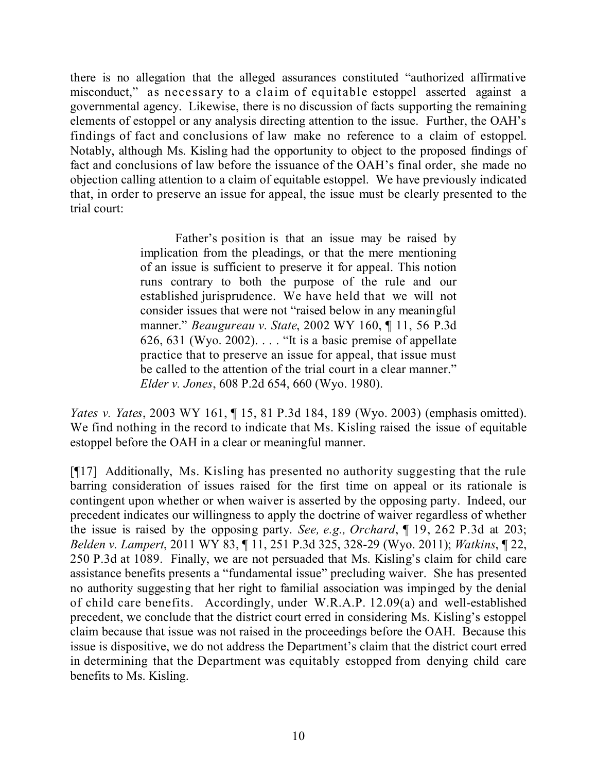there is no allegation that the alleged assurances constituted "authorized affirmative misconduct," as necessary to a claim of equitable estoppel asserted against a governmental agency. Likewise, there is no discussion of facts supporting the remaining elements of estoppel or any analysis directing attention to the issue. Further, the OAH's findings of fact and conclusions of law make no reference to a claim of estoppel. Notably, although Ms. Kisling had the opportunity to object to the proposed findings of fact and conclusions of law before the issuance of the OAH's final order, she made no objection calling attention to a claim of equitable estoppel. We have previously indicated that, in order to preserve an issue for appeal, the issue must be clearly presented to the trial court:

> Father's position is that an issue may be raised by implication from the pleadings, or that the mere mentioning of an issue is sufficient to preserve it for appeal. This notion runs contrary to both the purpose of the rule and our established jurisprudence. We have held that we will not consider issues that were not "raised below in any meaningful manner." *Beaugureau v. State*, 2002 WY 160, ¶ 11, 56 P.3d 626, 631 (Wyo. 2002).  $\dots$  "It is a basic premise of appellate practice that to preserve an issue for appeal, that issue must be called to the attention of the trial court in a clear manner." *Elder v. Jones*, 608 P.2d 654, 660 (Wyo. 1980).

*Yates v. Yates*, 2003 WY 161, ¶ 15, 81 P.3d 184, 189 (Wyo. 2003) (emphasis omitted). We find nothing in the record to indicate that Ms. Kisling raised the issue of equitable estoppel before the OAH in a clear or meaningful manner.

[¶17] Additionally, Ms. Kisling has presented no authority suggesting that the rule barring consideration of issues raised for the first time on appeal or its rationale is contingent upon whether or when waiver is asserted by the opposing party. Indeed, our precedent indicates our willingness to apply the doctrine of waiver regardless of whether the issue is raised by the opposing party. *See, e.g., Orchard*, ¶ 19, 262 P.3d at 203; *Belden v. Lampert*, 2011 WY 83, ¶ 11, 251 P.3d 325, 328-29 (Wyo. 2011); *Watkins*, ¶ 22, 250 P.3d at 1089. Finally, we are not persuaded that Ms. Kisling's claim for child care assistance benefits presents a "fundamental issue" precluding waiver. She has presented no authority suggesting that her right to familial association was impinged by the denial of child care benefits. Accordingly, under W.R.A.P. 12.09(a) and well-established precedent, we conclude that the district court erred in considering Ms. Kisling's estoppel claim because that issue was not raised in the proceedings before the OAH. Because this issue is dispositive, we do not address the Department's claim that the district court erred in determining that the Department was equitably estopped from denying child care benefits to Ms. Kisling.